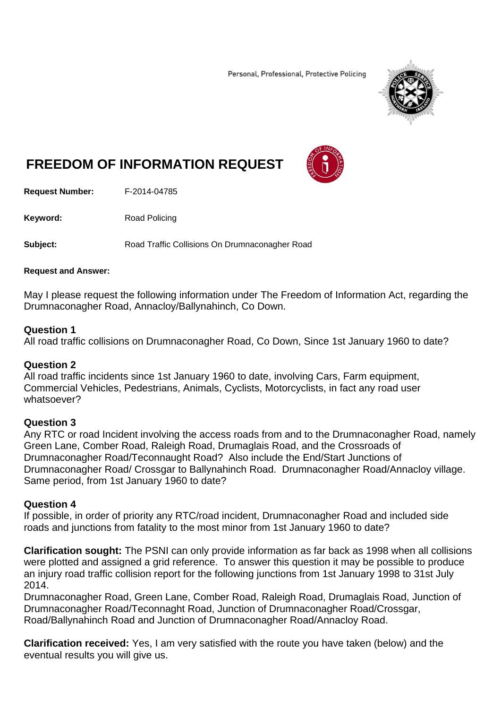Personal, Professional, Protective Policing



# **FREEDOM OF INFORMATION REQUEST**



**Request Number:** F-2014-04785

**Keyword:** Road Policing

**Subject:** Road Traffic Collisions On Drumnaconagher Road

#### **Request and Answer:**

May I please request the following information under The Freedom of Information Act, regarding the Drumnaconagher Road, Annacloy/Ballynahinch, Co Down.

### **Question 1**

All road traffic collisions on Drumnaconagher Road, Co Down, Since 1st January 1960 to date?

### **Question 2**

All road traffic incidents since 1st January 1960 to date, involving Cars, Farm equipment, Commercial Vehicles, Pedestrians, Animals, Cyclists, Motorcyclists, in fact any road user whatsoever?

### **Question 3**

Any RTC or road Incident involving the access roads from and to the Drumnaconagher Road, namely Green Lane, Comber Road, Raleigh Road, Drumaglais Road, and the Crossroads of Drumnaconagher Road/Teconnaught Road? Also include the End/Start Junctions of Drumnaconagher Road/ Crossgar to Ballynahinch Road. Drumnaconagher Road/Annacloy village. Same period, from 1st January 1960 to date?

### **Question 4**

If possible, in order of priority any RTC/road incident, Drumnaconagher Road and included side roads and junctions from fatality to the most minor from 1st January 1960 to date?

**Clarification sought:** The PSNI can only provide information as far back as 1998 when all collisions were plotted and assigned a grid reference. To answer this question it may be possible to produce an injury road traffic collision report for the following junctions from 1st January 1998 to 31st July 2014.

Drumnaconagher Road, Green Lane, Comber Road, Raleigh Road, Drumaglais Road, Junction of Drumnaconagher Road/Teconnaght Road, Junction of Drumnaconagher Road/Crossgar, Road/Ballynahinch Road and Junction of Drumnaconagher Road/Annacloy Road.

**Clarification received:** Yes, I am very satisfied with the route you have taken (below) and the eventual results you will give us.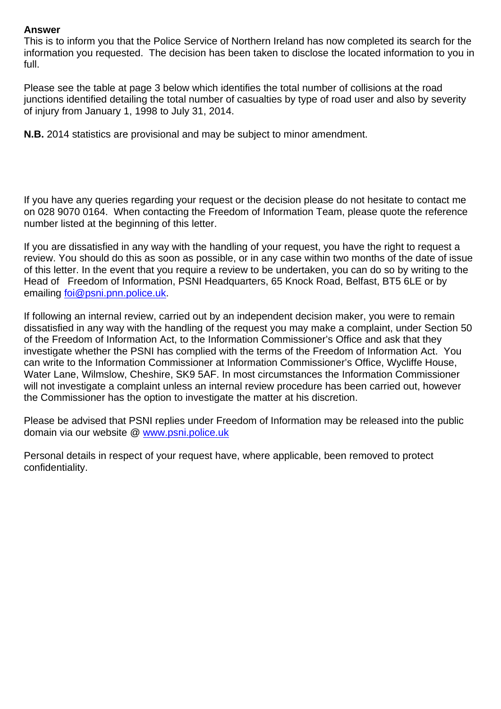### **Answer**

This is to inform you that the Police Service of Northern Ireland has now completed its search for the information you requested. The decision has been taken to disclose the located information to you in full.

Please see the table at page 3 below which identifies the total number of collisions at the road junctions identified detailing the total number of casualties by type of road user and also by severity of injury from January 1, 1998 to July 31, 2014.

**N.B.** 2014 statistics are provisional and may be subject to minor amendment.

If you have any queries regarding your request or the decision please do not hesitate to contact me on 028 9070 0164. When contacting the Freedom of Information Team, please quote the reference number listed at the beginning of this letter.

If you are dissatisfied in any way with the handling of your request, you have the right to request a review. You should do this as soon as possible, or in any case within two months of the date of issue of this letter. In the event that you require a review to be undertaken, you can do so by writing to the Head of Freedom of Information, PSNI Headquarters, 65 Knock Road, Belfast, BT5 6LE or by emailing foi@psni.pnn.police.uk.

If following an internal review, carried out by an independent decision maker, you were to remain dissatisfied in any way with the handling of the request you may make a complaint, under Section 50 of the Freedom of Information Act, to the Information Commissioner's Office and ask that they investigate whether the PSNI has complied with the terms of the Freedom of Information Act. You can write to the Information Commissioner at Information Commissioner's Office, Wycliffe House, Water Lane, Wilmslow, Cheshire, SK9 5AF. In most circumstances the Information Commissioner will not investigate a complaint unless an internal review procedure has been carried out, however the Commissioner has the option to investigate the matter at his discretion.

Please be advised that PSNI replies under Freedom of Information may be released into the public domain via our website @ www.psni.police.uk

Personal details in respect of your request have, where applicable, been removed to protect confidentiality.